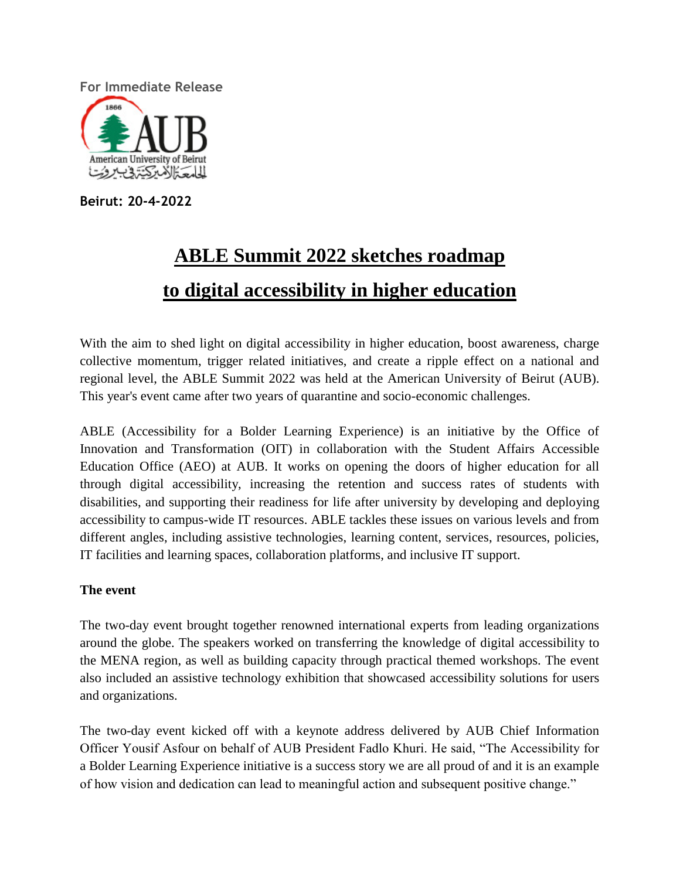**For Immediate Release**



**Beirut: 20-4-2022**

# **ABLE Summit 2022 sketches roadmap to digital accessibility in higher education**

With the aim to shed light on digital accessibility in higher education, boost awareness, charge collective momentum, trigger related initiatives, and create a ripple effect on a national and regional level, the ABLE Summit 2022 was held at the American University of Beirut (AUB). This year's event came after two years of quarantine and socio-economic challenges.

ABLE (Accessibility for a Bolder Learning Experience) is an initiative by the Office of Innovation and Transformation (OIT) in collaboration with the Student Affairs Accessible Education Office (AEO) at AUB. It works on opening the doors of higher education for all through digital accessibility, increasing the retention and success rates of students with disabilities, and supporting their readiness for life after university by developing and deploying accessibility to campus-wide IT resources. ABLE tackles these issues on various levels and from different angles, including assistive technologies, learning content, services, resources, policies, IT facilities and learning spaces, collaboration platforms, and inclusive IT support.

## **The event**

The two-day event brought together renowned international experts from leading organizations around the globe. The speakers worked on transferring the knowledge of digital accessibility to the MENA region, as well as building capacity through practical themed workshops. The event also included an assistive technology exhibition that showcased accessibility solutions for users and organizations.

The two-day event kicked off with a keynote address delivered by AUB Chief Information Officer Yousif Asfour on behalf of AUB President Fadlo Khuri. He said, "The Accessibility for a Bolder Learning Experience initiative is a success story we are all proud of and it is an example of how vision and dedication can lead to meaningful action and subsequent positive change."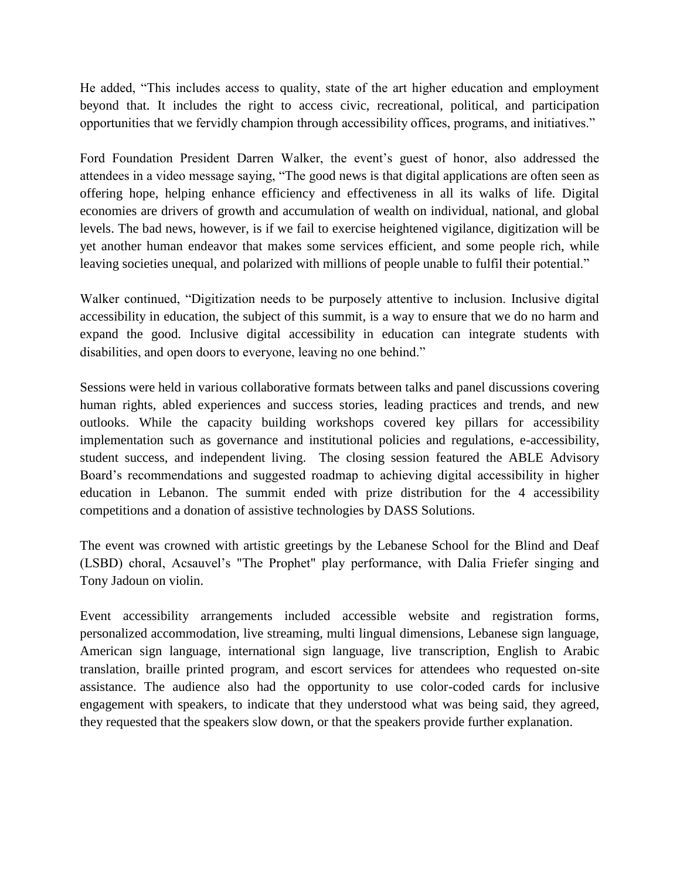He added, "This includes access to quality, state of the art higher education and employment beyond that. It includes the right to access civic, recreational, political, and participation opportunities that we fervidly champion through accessibility offices, programs, and initiatives."

Ford Foundation President Darren Walker, the event's guest of honor, also addressed the attendees in a video message saying, "The good news is that digital applications are often seen as offering hope, helping enhance efficiency and effectiveness in all its walks of life. Digital economies are drivers of growth and accumulation of wealth on individual, national, and global levels. The bad news, however, is if we fail to exercise heightened vigilance, digitization will be yet another human endeavor that makes some services efficient, and some people rich, while leaving societies unequal, and polarized with millions of people unable to fulfil their potential."

Walker continued, "Digitization needs to be purposely attentive to inclusion. Inclusive digital accessibility in education, the subject of this summit, is a way to ensure that we do no harm and expand the good. Inclusive digital accessibility in education can integrate students with disabilities, and open doors to everyone, leaving no one behind."

Sessions were held in various collaborative formats between talks and panel discussions covering human rights, abled experiences and success stories, leading practices and trends, and new outlooks. While the capacity building workshops covered key pillars for accessibility implementation such as governance and institutional policies and regulations, e-accessibility, student success, and independent living. The closing session featured the ABLE Advisory Board's recommendations and suggested roadmap to achieving digital accessibility in higher education in Lebanon. The summit ended with prize distribution for the 4 accessibility competitions and a donation of assistive technologies by DASS Solutions.

The event was crowned with artistic greetings by the Lebanese School for the Blind and Deaf (LSBD) choral, Acsauvel's "The Prophet" play performance, with Dalia Friefer singing and Tony Jadoun on violin.

Event accessibility arrangements included accessible website and registration forms, personalized accommodation, live streaming, multi lingual dimensions, Lebanese sign language, American sign language, international sign language, live transcription, English to Arabic translation, braille printed program, and escort services for attendees who requested on-site assistance. The audience also had the opportunity to use color-coded cards for inclusive engagement with speakers, to indicate that they understood what was being said, they agreed, they requested that the speakers slow down, or that the speakers provide further explanation.